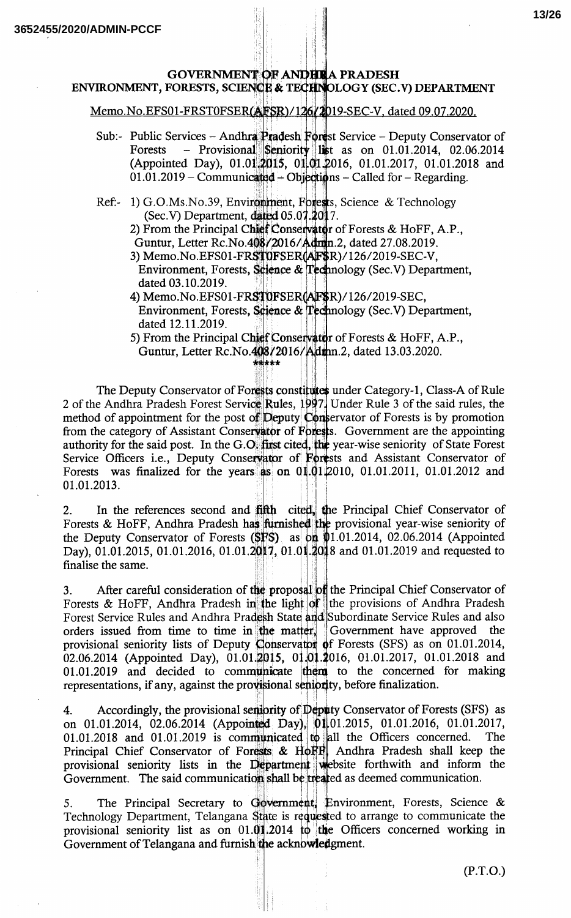#### **GOVERNMENT OF ANDHUA PRADESH** ENVIRONMENT, FORESTS, SCIENCE & TECHNOLOGY (SEC.V) DEPARTMENT

Memo.No.EFS01-FRST0FSER(AFSR)/126/2019-SEC-V, dated 09.07.2020.

- Sub:- Public Services Andhra Pradesh Forest Service Deputy Conservator of - Provisional Seniority list as on 01.01.2014, 02.06.2014 Forests (Appointed Day), 01.01.2015, 01.01.2016, 01.01.2017, 01.01.2018 and  $01.01.2019$  – Communicated – Objections – Called for – Regarding.
- Ref:- 1) G.O.Ms.No.39, Environment, Forests, Science & Technology (Sec.V) Department, dated 05.07.2017.
	- 2) From the Principal Chief Conservator of Forests & HoFF, A.P., Guntur, Letter Rc.No.408/2016/Admn.2, dated 27.08.2019.
	- 3) Memo.No.EFS01-FRST0FSER(AF\$R)/126/2019-SEC-V,
	- Environment, Forests, Science & Technology (Sec.V) Department, dated 03.10.2019.
	- 4) Memo.No.EFS01-FRST0FSER(AF\$R)/126/2019-SEC, Environment, Forests, Science & Technology (Sec.V) Department, dated 12.11.2019.

5) From the Principal Chief Conservator of Forests & HoFF, A.P., Guntur, Letter Rc.No.408/2016/Admn.2, dated 13.03.2020. r<del>kk</del> \* \*

The Deputy Conservator of Forests constitutes under Category-1, Class-A of Rule 2 of the Andhra Pradesh Forest Service Rules, 1997. Under Rule 3 of the said rules, the method of appointment for the post of Deputy Conservator of Forests is by promotion from the category of Assistant Conservator of Forests. Government are the appointing authority for the said post. In the G.O. first cited, the year-wise seniority of State Forest Service Officers i.e., Deputy Conservator of Forests and Assistant Conservator of was finalized for the years as on 01.01.2010, 01.01.2011, 01.01.2012 and Forests 01.01.2013.

In the references second and fifth cited, the Principal Chief Conservator of  $\overline{2}$ . Forests & HoFF, Andhra Pradesh has furnished the provisional year-wise seniority of the Deputy Conservator of Forests (SFS) as on  $\phi$ 1.01.2014, 02.06.2014 (Appointed Day), 01.01.2015, 01.01.2016, 01.01.2017, 01.01.2018 and 01.01.2019 and requested to finalise the same.

After careful consideration of the proposal of the Principal Chief Conservator of 3. Forests & HoFF, Andhra Pradesh in the light of the provisions of Andhra Pradesh Forest Service Rules and Andhra Pradesh State and Subordinate Service Rules and also orders issued from time to time in the matter. Government have approved the provisional seniority lists of Deputy Conservator of Forests (SFS) as on 01.01.2014, 02.06.2014 (Appointed Day), 01.01.2015, 01.01.2016, 01.01.2017, 01.01.2018 and 01.01.2019 and decided to communicate them to the concerned for making representations, if any, against the provisional seniority, before finalization.

Accordingly, the provisional semiority of Deputy Conservator of Forests (SFS) as 4. on 01.01.2014, 02.06.2014 (Appointed Day), 01.01.2015, 01.01.2016, 01.01.2017,  $01.01.2018$  and  $01.01.2019$  is communicated to all the Officers concerned. The Principal Chief Conservator of Forests & HoFF Andhra Pradesh shall keep the provisional seniority lists in the Department website forthwith and inform the Government. The said communication shall be treated as deemed communication.

The Principal Secretary to Government, Environment, Forests, Science & 5. Technology Department, Telangana State is requested to arrange to communicate the provisional seniority list as on 01.01.2014 to the Officers concerned working in Government of Telangana and furnish the acknowledgment.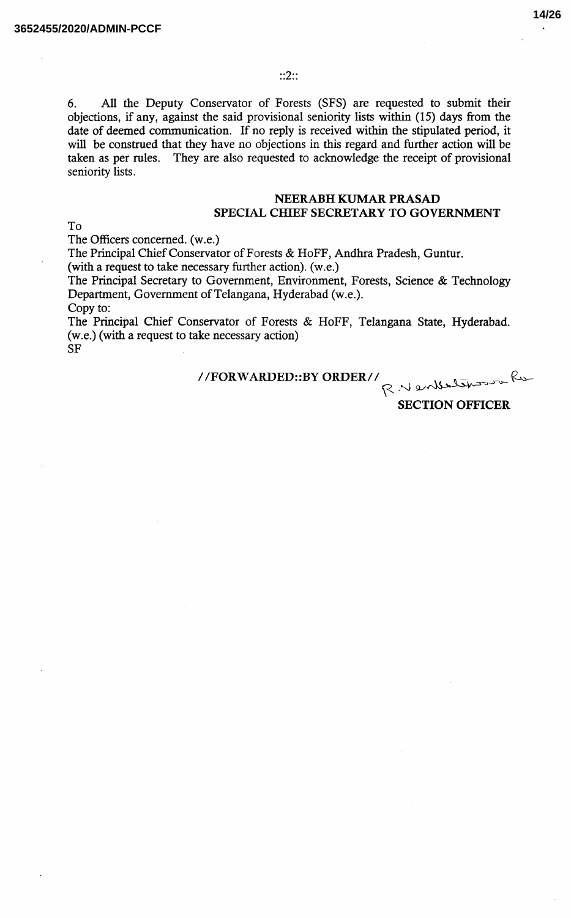$::2::$ 

All the Deputy Conservator of Forests (SFS) are requested to submit their 6. objections, if any, against the said provisional seniority lists within (15) days from the date of deemed communication. If no reply is received within the stipulated period, it will be construed that they have no objections in this regard and further action will be taken as per rules. They are also requested to acknowledge the receipt of provisional seniority lists.

#### **NEERABH KUMAR PRASAD** SPECIAL CHIEF SECRETARY TO GOVERNMENT

To

The Officers concerned. (w.e.)

The Principal Chief Conservator of Forests & HoFF, Andhra Pradesh, Guntur.

(with a request to take necessary further action). (w.e.)

The Principal Secretary to Government, Environment, Forests, Science & Technology Department, Government of Telangana, Hyderabad (w.e.). Copy to:

The Principal Chief Conservator of Forests & HoFF, Telangana State, Hyderabad. (w.e.) (with a request to take necessary action) **SF** 

//FORWARDED::BY ORDER//<br>R. Wenderbury

**SECTION OFFICER**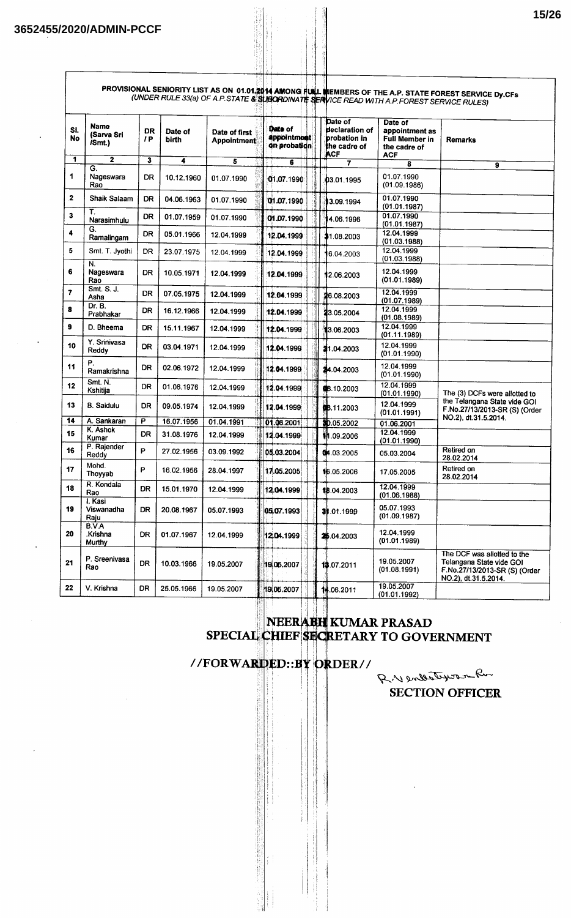| SI.<br>No | Name<br>(Sarva Sri<br>/Smt.)              | <b>DR</b><br>1P | Date of<br>birth | Date of first<br><b>Appointment</b> | Date of<br>appointment<br>on probation | Date of<br>declaration of<br><b>probation</b> in<br>the cadre of<br>ACF | Date of<br>appointment as<br><b>Full Member in</b><br>the cadre of<br><b>ACF</b> | <b>Remarks</b>                                                                                                   |
|-----------|-------------------------------------------|-----------------|------------------|-------------------------------------|----------------------------------------|-------------------------------------------------------------------------|----------------------------------------------------------------------------------|------------------------------------------------------------------------------------------------------------------|
| 1.        | $\overline{2}$                            | 3               | 4                | 5                                   | 6                                      | 7                                                                       | 8                                                                                | 9                                                                                                                |
| 1         | G.<br>Nageswara<br>Rao                    | DR.             | 10.12.1960       | 01.07.1990                          | 01.07.1990                             | 03.01.1995                                                              | 01.07.1990<br>(01.09.1986)                                                       |                                                                                                                  |
| 2         | Shaik Salaam                              | DR              | 04.06.1963       | 01.07.1990                          | 01.07.1990                             | 3.09.1994                                                               | 01.07.1990<br>(01.01.1987)                                                       |                                                                                                                  |
| 3         | Т.<br>Narasimhulu                         | <b>DR</b>       | 01.07.1959       | 01.07.1990                          | 01.07.1990                             | 4.06.1996                                                               | 01.07.1990<br>(01.01.1987)                                                       |                                                                                                                  |
| 4         | G.<br>Ramalingam                          | <b>DR</b>       | 05.01.1966       | 12.04.1999                          | 12.04.1999                             | \$1.08.2003                                                             | 12.04.1999<br>(01.03.1988)                                                       |                                                                                                                  |
| 5         | Smt. T. Jyothi<br>N.                      | DR              | 23.07.1975       | 12.04.1999                          | 12.04.1999                             | 6.04.2003                                                               | 12.04.1999<br>(01.03.1988)                                                       |                                                                                                                  |
| 6         | Nageswara<br>Rao                          | DR              | 10.05.1971       | 12.04.1999                          | 12.04.1999                             | 12.06.2003                                                              | 12.04.1999<br>(01.01.1989)                                                       |                                                                                                                  |
| 7         | Smt. S. J.<br>Asha                        | <b>DR</b>       | 07.05.1975       | 12.04.1999                          | 12.04.1999                             | 216.08.2003                                                             | 12.04.1999<br>(01.07.1989)                                                       |                                                                                                                  |
| 8         | Dr. B.<br>Prabhakar                       | <b>DR</b>       | 16.12.1966       | 12.04.1999                          | 12.04.1999                             | 23.05.2004                                                              | 12.04.1999<br>(01.08.1989)                                                       |                                                                                                                  |
| 9         | D. Bheema                                 | DR              | 15.11.1967       | 12.04.1999                          | 12.04.1999                             | 3.06.2003                                                               | 12.04.1999<br>(01.11.1989)                                                       |                                                                                                                  |
| 10        | Y. Srinivasa<br>Reddy                     | DR.             | 03.04.1971       | 12.04.1999                          | 12.04.1999                             | 21.04.2003                                                              | 12.04.1999<br>(01.01.1990)                                                       |                                                                                                                  |
| 11        | Р.<br>Ramakrishna                         | <b>DR</b>       | 02.06.1972       | 12.04.1999                          | 12.04.1999                             | 24.04.2003                                                              | 12.04.1999<br>(01.01.1990)                                                       |                                                                                                                  |
| 12        | Smt. N.<br>Kshitija                       | DR              | 01.06.1976       | 12.04.1999                          | 12.04.1999                             | 68.10.2003                                                              | 12.04.1999<br>(01.01.1990)                                                       | The (3) DCFs were allotted to                                                                                    |
| 13        | <b>B.</b> Saidulu                         | DR              | 09.05.1974       | 12.04.1999                          | 12.04.1999                             | <b>68.11.2003</b>                                                       | 12.04.1999<br>(01.01.1991)                                                       | the Telangana State vide GOI<br>F.No.27/13/2013-SR (S) (Order                                                    |
| 14        | A. Sankaran                               | P               | 16.07.1956       | 01.04.1991                          | [01.06.2001]                           | \$0.05.2002                                                             | 01.06.2001                                                                       | NO.2), dt.31.5.2014.                                                                                             |
| 15        | K. Ashok<br>Kumar                         | <b>DR</b>       | 31.08.1976       | 12.04.1999                          | 12.04.1999                             | <b>11.09.2006</b>                                                       | 12.04.1999<br>(01.01.1990)                                                       |                                                                                                                  |
| 16        | P. Rajender<br>Reddy                      | P               | 27.02.1956       | 03.09.1992                          | 05.03.2004                             | 04.03.2005                                                              | 05.03.2004                                                                       | Retired on<br>28.02.2014                                                                                         |
| 17        | Mohd.<br>Thoyyab                          | P               | 16.02.1956       | 28.04.1997                          | 17.05.2005                             | 16.05.2006                                                              | 17.05.2005                                                                       | Retired on<br>28.02.2014                                                                                         |
| 18        | R. Kondala<br>Rao                         | DR              | 15.01.1970       | 12.04.1999                          | 12.04.1999                             | 18.04.2003                                                              | 12.04.1999<br>(01.06.1988)                                                       |                                                                                                                  |
| 19        | I. Kasi<br>Viswanadha<br>Raju             | DR              | 20.08.1967       | 05.07.1993                          | 05.07.1993                             | 3:01.1999                                                               | 05.07.1993<br>(01.09.1987)                                                       |                                                                                                                  |
| 20        | <b>B.V.A</b><br>.Krishna<br><b>Murthy</b> | <b>DR</b>       | 01.07.1967       | 12.04.1999                          | 12:04.1999                             | 2\$6.04.2003                                                            | 12.04.1999<br>(01.01.1989)                                                       |                                                                                                                  |
| 21        | P. Sreenivasa<br>Rao                      | DR              | 10.03.1966       | 19.05.2007                          | 19,05,2007                             | 13.07.2011                                                              | 19.05.2007<br>(01.08.1991)                                                       | The DCF was allotted to the<br>Telangana State vide GOI<br>F.No.27/13/2013-SR (S) (Order<br>NO.2), dt.31.5.2014. |
| 22        | V. Krishna                                | DR              | 25.05.1966       | 19.05.2007                          | 19,06.2007                             | 14.06.2011                                                              | 19.05.2007<br>(01.01.1992)                                                       |                                                                                                                  |

### NEERABH KUMAR PRASAD SPECIAL CHIEF SECRETARY TO GOVERNMENT

## //FORWARDED::BY ORDER//

RV entertifican Ru **SECTION OFFICER**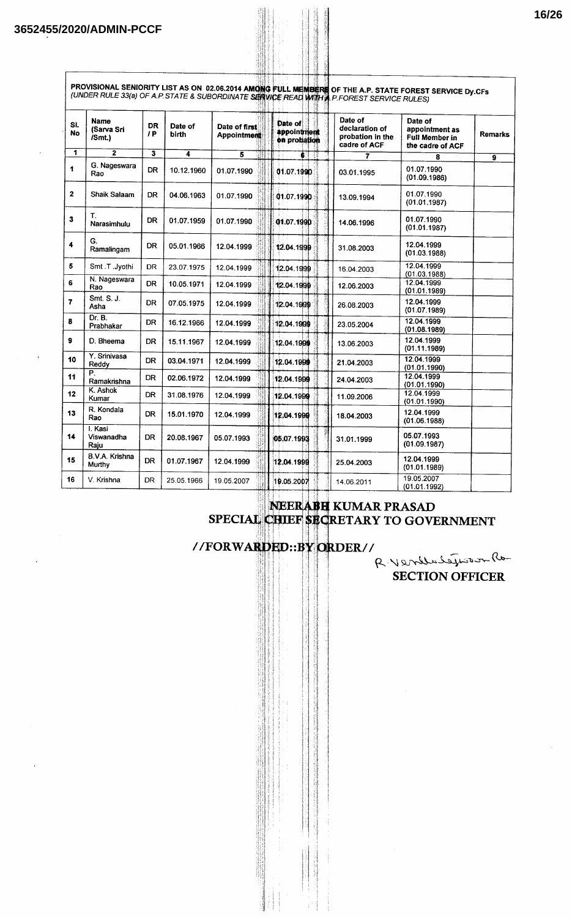$\lceil$ 

|                |                                     |                 |                  |                               | (UNDER RULE 33(a) OF A.P. STATE & SUBORDINATE SHAVICE REAL WITH A.P. FOREST SERVICE RULES) |                                                               | PROVISIONAL SENIORITY LIST AS ON 02.06.2014 AMONG FULL MEMBERE OF THE A.P. STATE FOREST SERVICE Dy.CFs |                |
|----------------|-------------------------------------|-----------------|------------------|-------------------------------|--------------------------------------------------------------------------------------------|---------------------------------------------------------------|--------------------------------------------------------------------------------------------------------|----------------|
| SI.<br>No      | <b>Name</b><br>(Sarva Sri<br>/Smt.) | <b>DR</b><br>1P | Date of<br>birth | Date of first<br>Appointment  | Date of<br>appointment<br>on probation                                                     | Date of<br>declaration of<br>probation in the<br>cadre of ACF | Date of<br>appointment as<br><b>Full Member in</b><br>the cadre of ACF                                 | <b>Remarks</b> |
| $\mathbf{1}$   | $\overline{2}$                      | 3               | 4                | $\overline{\mathbf{5}}$<br>HI |                                                                                            | $\overline{7}$                                                | 8                                                                                                      | 9              |
| 1              | G. Nageswara<br>Rao                 | <b>DR</b>       | 10.12.1960       | 01.07.1990                    | 01.07.1990                                                                                 | 03.01.1995                                                    | 01.07.1990<br>(01.09.1986)                                                                             |                |
| $\mathbf{2}$   | Shaik Salaam                        | <b>DR</b>       | 04.06.1963       | 01.07.1990                    | 01.07.1990                                                                                 | 13.09.1994                                                    | 01.07.1990<br>(01.01.1987)                                                                             |                |
| 3              | Т.<br>Narasimhulu                   | DR.             | 01.07.1959       | 01.07.1990                    | 01.07.1990                                                                                 | 14.06.1996                                                    | 01.07.1990<br>(01.01.1987)                                                                             |                |
| 4              | G.<br>Ramalingam                    | DR              | 05.01.1966       | 12.04.1999                    | 12.04.1999                                                                                 | 31.08.2003                                                    | 12.04.1999<br>(01.03.1988)                                                                             |                |
| 5              | Smt.T.Jyothi                        | <b>DR</b>       | 23.07.1975       | 12.04.1999                    | 12.04.1999                                                                                 | 16.04.2003                                                    | 12.04.1999<br>(01.03.1988)                                                                             |                |
| 6              | N. Nageswara<br>Rao                 | <b>DR</b>       | 10.05.1971       | 12.04.1999                    | 12.04.1999                                                                                 | 12.06.2003                                                    | 12.04.1999<br>(01.01.1989)                                                                             |                |
| $\overline{z}$ | Smt. S. J.<br>Asha                  | DR              | 07.05.1975       | 12.04.1999                    | 12.04.1999                                                                                 | 26.08.2003                                                    | 12.04.1999<br>(01.07.1989)                                                                             |                |
| 8              | Dr. B.<br>Prabhakar                 | DR.             | 16.12.1966       | 12.04.1999                    | 12.04.1999                                                                                 | 23.05.2004                                                    | 12.04.1999<br>(01.08.1989)                                                                             |                |
| 9              | D. Bheema                           | DR              | 15.11.1967       | 12.04.1999                    | 12.04.1999                                                                                 | 13.06.2003                                                    | 12.04.1999<br>(01.11.1989)                                                                             |                |
| 10             | Y. Srinivasa<br>Reddy               | DR.             | 03.04.1971       | 12.04.1999                    | 12.04.1999                                                                                 | 21.04.2003                                                    | 12.04.1999<br>(01.01.1990)                                                                             |                |
| 11             | P.<br>Ramakrishna                   | DR              | 02.06.1972       | 12.04.1999                    | 12.04.1999                                                                                 | 24.04.2003                                                    | 12.04.1999<br>(01.01.1990)                                                                             |                |
| 12             | K. Ashok<br>Kumar                   | DR              | 31.08.1976       | 12.04.1999                    | 12.04.1999                                                                                 | 11.09.2006                                                    | 12.04.1999<br>(01.01.1990)                                                                             |                |
| 13             | R. Kondala<br>Rao                   | <b>DR</b>       | 15.01.1970       | 12.04.1999                    | 12.04.1999                                                                                 | 18.04.2003                                                    | 12.04.1999<br>(01.06.1988)                                                                             |                |
| 14             | I. Kasi<br>Viswanadha<br>Raju       | DR              | 20.08.1967       | 05.07.1993                    | 05.07.1993                                                                                 | 31.01.1999                                                    | 05.07.1993<br>(01.09.1987)                                                                             |                |
| 15             | B.V.A. Krishna<br>Murthy            | <b>DR</b>       | 01.07.1967       | 12.04.1999                    | 12.04.1999                                                                                 | 25.04.2003                                                    | 12.04.1999<br>(01.01.1989)                                                                             |                |
| 16             | V. Krishna                          | DR.             | 25.05.1966       | 19.05.2007                    | 19.05.2007                                                                                 | 14.06.2011                                                    | 19.05.2007<br>(01.01.1992)                                                                             |                |

SH I 4

# NEERABH KUMAR PRASAD<br>SPECIAL CHIEF SECRETARY TO GOVERNMENT



R. Vendelegisson Ro **SECTION OFFICER**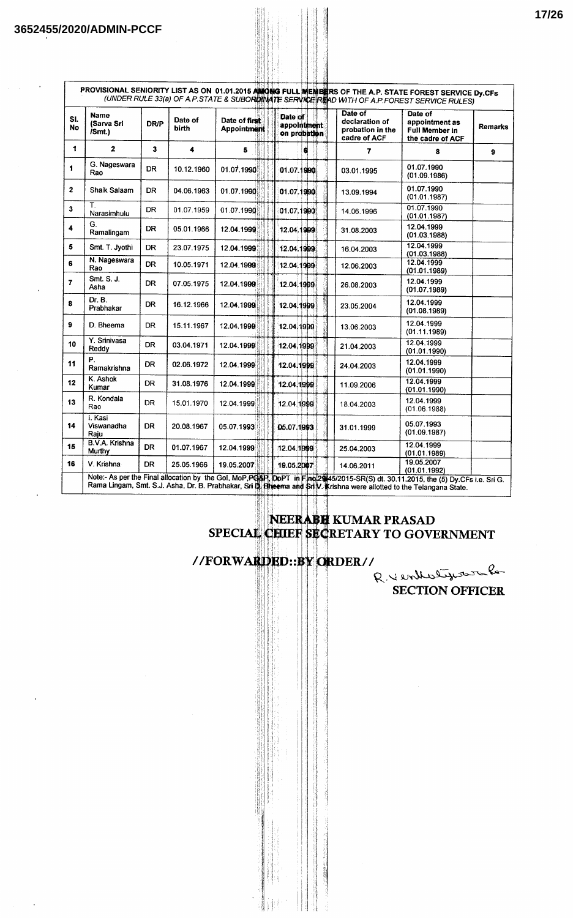| SI.<br>No    | <b>Name</b><br>(Sarva Sri<br>/Smt. | <b>DR/P</b> | Date of<br>birth | Date of first<br><b>Appointment</b> | Date of<br>appointment<br>on probation | Date of<br>declaration of<br>probation in the<br>cadre of ACF | Date of<br>appointment as<br>Full Member in<br>the cadre of ACF                                                                                                 | <b>Remarks</b> |
|--------------|------------------------------------|-------------|------------------|-------------------------------------|----------------------------------------|---------------------------------------------------------------|-----------------------------------------------------------------------------------------------------------------------------------------------------------------|----------------|
| 1            | $\overline{2}$                     | 3           | 4                | 5                                   | a                                      | 7                                                             | 8                                                                                                                                                               | $\mathbf{9}$   |
| 1            | G. Nageswara<br>Rao                | <b>DR</b>   | 10.12.1960       | 01.07.1990                          | 01.07.1990                             | 03.01.1995                                                    | 01.07.1990<br>(01.09.1986)                                                                                                                                      |                |
| $\mathbf{2}$ | Shaik Salaam                       | <b>DR</b>   | 04.06.1963       | 01.07.1990                          | 01.07.1990                             | 13.09.1994                                                    | 01.07.1990<br>(01.01.1987)                                                                                                                                      |                |
| 3            | Τ.<br>Narasimhulu                  | DR.         | 01.07.1959       | 01.07.1990                          | 01.07.1990                             | 14.06.1996                                                    | 01.07.1990<br>(01.01.1987)                                                                                                                                      |                |
| 4            | G.<br>Ramalingam                   | <b>DR</b>   | 05.01.1966       | 12.04.1999                          | 12.04.1999                             | 31.08.2003                                                    | 12.04.1999<br>(01.03.1988)                                                                                                                                      |                |
| 5            | Smt. T. Jyothi                     | <b>DR</b>   | 23.07.1975       | 12.04.1999                          | 12.04.1999                             | 16.04.2003                                                    | 12.04.1999<br>(01.03.1988)                                                                                                                                      |                |
| 6            | N. Nageswara<br>Rao                | <b>DR</b>   | 10.05.1971       | 12.04.1999                          | 12.04.1999                             | 12.06.2003                                                    | 12.04.1999<br>(01.01.1989)                                                                                                                                      |                |
| 7            | Smt. S. J.<br>Asha                 | DR.         | 07.05.1975       | 12.04.1999                          | 12.04.1999                             | 26.08.2003                                                    | 12.04.1999<br>(01.07.1989)                                                                                                                                      |                |
| 8            | Dr. B.<br>Prabhakar                | <b>DR</b>   | 16.12.1966       | 12.04.1999                          | 12.04.1999                             | 23.05.2004                                                    | 12.04.1999<br>(01.08.1989)                                                                                                                                      |                |
| $\mathbf{9}$ | D. Bheema                          | DR.         | 15.11.1967       | 12.04.1999                          | 12.04.1999                             | 13.06.2003                                                    | 12.04.1999<br>(01.11.1989)                                                                                                                                      |                |
| 10           | Y. Srinivasa<br>Reddy              | <b>DR</b>   | 03.04.1971       | 12.04.1999                          | 12.04.1999                             | 21.04.2003                                                    | 12.04.1999<br>(01.01.1990)                                                                                                                                      |                |
| 11           | P.<br>Ramakrishna                  | <b>DR</b>   | 02.06.1972       | 12.04.1999                          | 12.04.1999                             | 24.04.2003                                                    | 12.04.1999<br>(01.01.1990)                                                                                                                                      |                |
| 12           | K. Ashok<br>Kumar                  | <b>DR</b>   | 31.08.1976       | 12.04.1999                          | 12.04.1999                             | 11.09.2006                                                    | 12.04.1999<br>(01.01.1990)                                                                                                                                      |                |
| 13           | R. Kondala<br>Rao                  | DR          | 15.01.1970       | 12.04.1999                          | 12.04.1999                             | 18.04.2003                                                    | 12.04.1999<br>(01.06.1988)                                                                                                                                      |                |
| 14           | I. Kasi<br>Viswanadha<br>Raju      | <b>DR</b>   | 20.08.1967       | 05.07.1993                          | 05.07.1993                             | 31.01.1999                                                    | 05.07.1993<br>(01.09.1987)                                                                                                                                      |                |
| 15           | B.V.A. Krishna<br>Murthy           | DR          | 01.07.1967       | 12.04.1999                          | 12.04.1999                             | 25.04.2003                                                    | 12.04.1999<br>(01.01.1989)                                                                                                                                      |                |
| 16           | V. Krishna                         | DR.         | 25.05.1966       | 19.05.2007                          | 19.05.2007                             | 14.06.2011                                                    | 19.05.2007<br>(01.01.1992)<br>Note:- As per the Final allocation by the Gol, MoP, PGAP, DoPT in Final2945/2015-SR(S) dt. 30.11.2015, the (5) Dy.CFs i.e. Sri G. |                |

# NEERABH KUMAR PRASAD<br>SPECIAL CHIEF SECRETARY TO GOVERNMENT

## //FORWARDED::BY ORDER//

R. Yentholyson  $Q_{\rm ps}$ **SECTION OFFICER**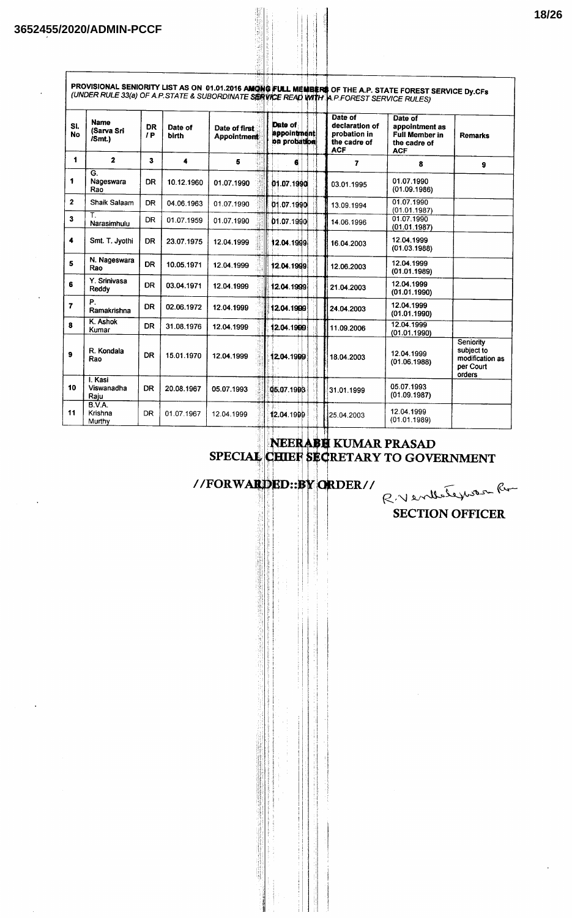f

|                  |                                      |                 |                  |                                     |                                               | (UNDER RULE 33(a) OF A.P.STATE & SUBORDINATE SERVICE READ WITH A.P.FOREST SERVICE RULES) | PROVISIONAL SENIORITY LIST AS ON 01.01.2016 AMONG FULL MEMBERS OF THE A.P. STATE FOREST SERVICE Dy.CFs |                                                                   |
|------------------|--------------------------------------|-----------------|------------------|-------------------------------------|-----------------------------------------------|------------------------------------------------------------------------------------------|--------------------------------------------------------------------------------------------------------|-------------------------------------------------------------------|
| SI.<br><b>No</b> | <b>Name</b><br>(Sarva Sri<br>/Smt.)  | <b>DR</b><br>IP | Date of<br>birth | Date of first<br><b>Appointment</b> | Date of<br><b>appointment</b><br>on probation | Date of<br>declaration of<br>probation in<br>the cadre of<br><b>ACF</b>                  | Date of<br>appointment as<br><b>Full Member in</b><br>the cadre of<br><b>ACF</b>                       | <b>Remarks</b>                                                    |
| 1                | $\overline{2}$                       | 3               | 4                | 5                                   | 6                                             | $\overline{7}$                                                                           | 8                                                                                                      | 9                                                                 |
| 1                | $\overline{G}$ .<br>Nageswara<br>Rao | DR              | 10.12.1960       | 01.07.1990                          | 01.07.1990                                    | 03.01.1995                                                                               | 01.07.1990<br>(01.09.1986)                                                                             |                                                                   |
| $\overline{2}$   | Shaik Salaam                         | <b>DR</b>       | 04.06.1963       | 01.07.1990                          | 01.07.1990                                    | 13.09.1994                                                                               | 01.07.1990<br>(01.01.1987)                                                                             |                                                                   |
| $\mathbf{3}$     | Τ.<br>Narasimhulu                    | <b>DR</b>       | 01.07.1959       | 01.07.1990                          | 01.07.1990                                    | 14.06.1996                                                                               | 01.07.1990<br>(01.01.1987)                                                                             |                                                                   |
| 4                | Smt. T. Jyothi                       | <b>DR</b>       | 23.07.1975       | 12.04.1999                          | 12.04.1999                                    | 16.04.2003                                                                               | 12.04.1999<br>(01.03.1988)                                                                             |                                                                   |
| 5                | N. Nageswara<br>Rao                  | <b>DR</b>       | 10.05.1971       | 12.04.1999                          | 12.04.1999                                    | 12.06.2003                                                                               | 12.04.1999<br>(01.01.1989)                                                                             |                                                                   |
| 6                | Y. Srinivasa<br>Reddy                | <b>DR</b>       | 03.04.1971       | 12.04.1999                          | 12.04.1999                                    | 21.04.2003                                                                               | 12.04.1999<br>(01.01.1990)                                                                             |                                                                   |
| $\overline{z}$   | Р.<br>Ramakrishna                    | <b>DR</b>       | 02.06.1972       | 12.04.1999                          | 12.04.1999                                    | 24.04.2003                                                                               | 12.04.1999<br>(01.01.1990)                                                                             |                                                                   |
| 8                | K. Ashok<br>Kumar                    | DR.             | 31.08.1976       | 12.04.1999                          | 12.04.1999                                    | 11.09.2006                                                                               | 12.04.1999<br>(01.01.1990)                                                                             |                                                                   |
| 9                | R. Kondala<br>Rao                    | <b>DR</b>       | 15.01.1970       | 12.04.1999                          | 12.04.1999                                    | 18.04.2003                                                                               | 12.04.1999<br>(01.06.1988)                                                                             | Seniority<br>subject to<br>modification as<br>per Court<br>orders |
| 10               | I. Kasi<br>Viswanadha<br>Raju        | <b>DR</b>       | 20.08.1967       | 05.07.1993                          | 05.07.1993                                    | 31.01.1999                                                                               | 05.07.1993<br>(01.09.1987)                                                                             |                                                                   |
| 11               | B.V.A.<br>Krishna<br>Murthy          | <b>DR</b>       | 01.07.1967       | 12.04.1999                          | 12.04.1999                                    | 25.04.2003                                                                               | 12.04.1999<br>(01.01.1989)                                                                             |                                                                   |

# NEERABE KUMAR PRASAD<br>SPECIAL CHIEF SECRETARY TO GOVERNMENT

//FORWARDED::BY ORDER//

R.Venthategrouse Ru

**SECTION OFFICER**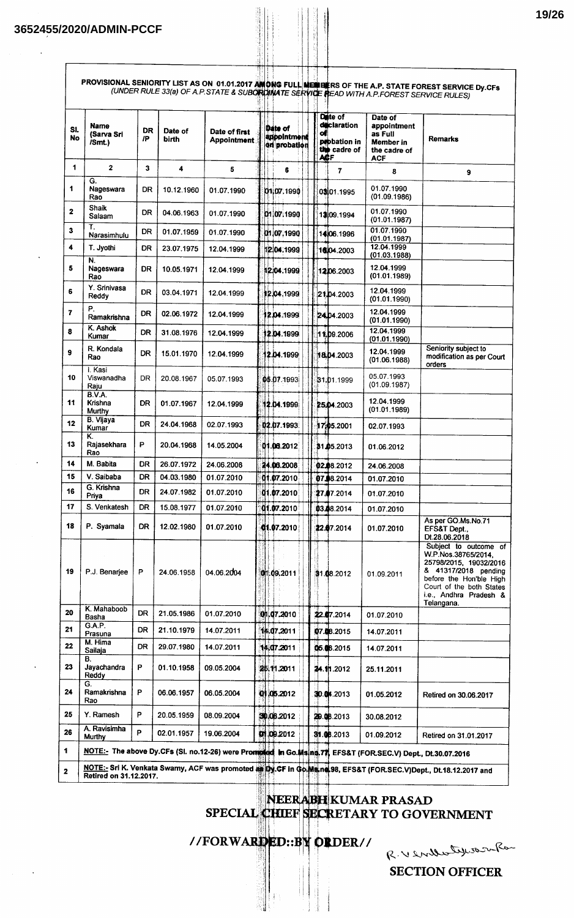$\overline{1}$ 

| $\mathbf 1$<br>1.<br>$\mathbf{2}$<br>3 | $\mathbf{2}$<br>G.<br>Nageswara<br>Rao |           |            | Date of first<br><b>Appointment</b>                                                                                       | Date of<br>appointment<br>en probation | <b>déclaration</b><br>of<br>probation in<br>the cadre of<br><b>ACF</b> | appointment<br>as Full<br>Member in<br>the cadre of<br><b>ACF</b> | <b>Remarks</b>                                                                                                                                                                                |
|----------------------------------------|----------------------------------------|-----------|------------|---------------------------------------------------------------------------------------------------------------------------|----------------------------------------|------------------------------------------------------------------------|-------------------------------------------------------------------|-----------------------------------------------------------------------------------------------------------------------------------------------------------------------------------------------|
|                                        |                                        | 3         | 4          | 5                                                                                                                         | 6                                      | $\overline{7}$                                                         | 8                                                                 | 9                                                                                                                                                                                             |
|                                        |                                        | DR        | 10.12.1960 | 01.07.1990                                                                                                                | 01.07.1990                             | 0301.1995                                                              | 01.07.1990<br>(01.09.1986)                                        |                                                                                                                                                                                               |
|                                        | Shaik<br>Salaam                        | DR        | 04.06.1963 | 01.07.1990                                                                                                                | 01.07.1990                             | 13:09.1994                                                             | 01.07.1990<br>(01.01.1987)                                        |                                                                                                                                                                                               |
|                                        | Τ.<br>Narasimhulu                      | DR        | 01.07.1959 | 01.07.1990                                                                                                                | 01.07.1990                             | 14:06.1996                                                             | 01.07.1990<br>(01.01.1987)                                        |                                                                                                                                                                                               |
| 4                                      | T. Jyothi                              | DR        | 23.07.1975 | 12.04.1999                                                                                                                | 12:04.1999                             | 16,04.2003                                                             | 12.04.1999<br>(01.03.1988)                                        |                                                                                                                                                                                               |
| 5                                      | N.<br>Nageswara<br>Rao                 | DR        | 10.05.1971 | 12.04.1999                                                                                                                | 12:04.1999                             | 1206.2003                                                              | 12.04.1999<br>(01.01.1989)                                        |                                                                                                                                                                                               |
| 6                                      | Y. Srinivasa<br>Reddy                  | DR        | 03.04.1971 | 12.04.1999                                                                                                                | 12.04.1999                             | 21.04.2003                                                             | 12.04.1999<br>(01.01.1990)                                        |                                                                                                                                                                                               |
| 7                                      | Р.<br>Ramakrishna                      | <b>DR</b> | 02.06.1972 | 12.04.1999                                                                                                                | 2.04.1999                              | <b>24.04.2003</b>                                                      | 12.04.1999<br>(01.01.1990)                                        |                                                                                                                                                                                               |
| 8                                      | K. Ashok<br>Kumar                      | DR        | 31.08.1976 | 12.04.1999                                                                                                                | 12.04.1999                             | 11.09.2006                                                             | 12.04.1999<br>(01.01.1990)                                        |                                                                                                                                                                                               |
| 9                                      | R. Kondala<br>Rao                      | <b>DR</b> | 15.01.1970 | 12.04.1999                                                                                                                | 2.04.1999                              | 18.04.2003                                                             | 12.04.1999<br>(01.06.1988)                                        | Seniority subject to<br>modification as per Court<br>orders                                                                                                                                   |
| 10                                     | I. Kasi<br>Viswanadha<br>Raju          | DR.       | 20.08.1967 | 05.07.1993                                                                                                                | 05.07.1993                             | 31.01.1999                                                             | 05.07.1993<br>(01.09.1987)                                        |                                                                                                                                                                                               |
| 11                                     | <b>B.V.A.</b><br>Krishna<br>Murthy     | DR        | 01.07.1967 | 12.04.1999                                                                                                                | 12.04.1999                             | 25.04.2003                                                             | 12.04.1999<br>(01.01.1989)                                        |                                                                                                                                                                                               |
| 12                                     | B. Vijaya<br>Kumar                     | DR        | 24.04.1968 | 02.07.1993                                                                                                                | 02.07.1993                             | 17.05.2001                                                             | 02.07.1993                                                        |                                                                                                                                                                                               |
| 13                                     | Κ.<br>Rajasekhara<br>Rao               | P         | 20.04.1968 | 14.05.2004                                                                                                                | 01.06.2012                             | 31.05.2013                                                             | 01.06.2012                                                        |                                                                                                                                                                                               |
| 14                                     | M. Babita                              | DR        | 26.07.1972 | 24.06.2008                                                                                                                | 24.06.2008                             | 02.08.2012                                                             | 24.06.2008                                                        |                                                                                                                                                                                               |
| 15                                     | V. Saibaba<br>G. Krishna               | DR        | 04.03.1980 | 01.07.2010                                                                                                                | 01.07.2010                             | 07.08.2014                                                             | 01.07.2010                                                        |                                                                                                                                                                                               |
| 16                                     | Priya                                  | DR        | 24.07.1982 | 01.07.2010                                                                                                                | 01.07.2010                             | 27.07.2014                                                             | 01.07.2010                                                        |                                                                                                                                                                                               |
| 17                                     | S. Venkatesh                           | <b>DR</b> | 15.08.1977 | 01.07.2010                                                                                                                | 01.07.2010                             | 03.08.2014                                                             | 01.07.2010                                                        |                                                                                                                                                                                               |
| 18                                     | P. Syamala                             | DR        | 12.02.1980 | 01.07.2010                                                                                                                | 01.07.2010                             | 22.07.2014                                                             | 01.07.2010                                                        | As per GO.Ms.No.71<br>EFS&T Dept.,<br>Dt.28.06.2018                                                                                                                                           |
| 19                                     | P.J. Benarjee<br>K. Mahaboob           | P         | 24.06.1958 | 04.06.2004                                                                                                                | 01.09.2011                             | 31.08.2012                                                             | 01.09.2011                                                        | Subject to outcome of<br>W.P.Nos.38765/2014.<br>25798/2015, 19032/2016<br>& 41317/2018 pending<br>before the Hon'ble High<br>Court of the both States<br>i.e., Andhra Pradesh &<br>Telangana. |
| 20                                     | Basha                                  | <b>DR</b> | 21.05.1986 | 01.07.2010                                                                                                                | 01.07.2010                             | 22.07.2014                                                             | 01.07.2010                                                        |                                                                                                                                                                                               |
| 21                                     | G.A.P.<br>Prasuna                      | DR        | 21.10.1979 | 14.07.2011                                                                                                                | 14.07.2011                             | 07.08.2015                                                             | 14.07.2011                                                        |                                                                                                                                                                                               |
| 22                                     | M. Hima<br>Sailaja                     | DR        | 29.07.1980 | 14.07.2011                                                                                                                | 14.07.2011                             | 05.08.2015                                                             | 14.07.2011                                                        |                                                                                                                                                                                               |
| 23                                     | В.<br>Jayachandra<br>Reddy             | P         | 01.10.1958 | 09.05.2004                                                                                                                | 25.11.2011                             | <b>24.11.2012</b>                                                      | 25.11.2011                                                        |                                                                                                                                                                                               |
| 24                                     | G.<br>Ramakrishna<br>Rao               | P         | 06.06.1957 | 06.05.2004                                                                                                                | 0105.2012                              | 30.0 1.2013                                                            | 01.05.2012                                                        | Retired on 30.06.2017                                                                                                                                                                         |
| 25                                     | Y. Ramesh                              | P         | 20.05.1959 | 08.09.2004                                                                                                                | 30.08.2012                             | 249.08.2013                                                            | 30.08.2012                                                        |                                                                                                                                                                                               |
| 26                                     | A. Ravisimha<br><b>Murthy</b>          | P         | 02.01.1957 | 19.06.2004<br>NOTE:- The above Dy.CFs (SI. no.12-26) were Promoted In Go.Ms.nn 77, EFS&T (FOR.SEC.V) Dept., Dt.30.07.2016 | 01.09.2012                             | 31.06.2013                                                             | 01.09.2012                                                        | Retired on 31.01.2017                                                                                                                                                                         |

पाग

NEERABH KUMAR PRASAD<br>SPECIAL CHIEF SECRETARY TO GOVERNMENT

//FORWARDED::BY ORDER//

R. Verderlyworker

**19/26**

**SECTION OFFICER**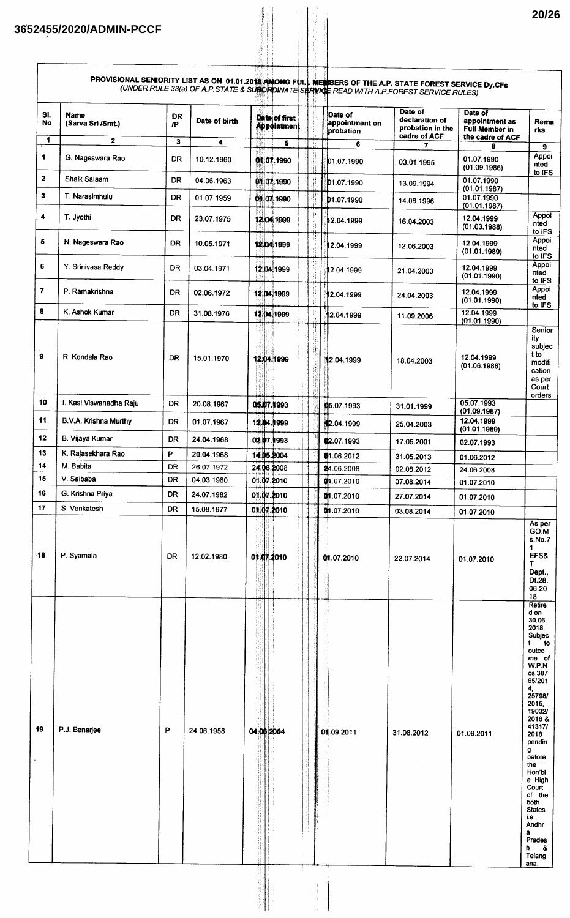|              |                                  |                 |                          |                                               | PROVISIONAL SENIORITY LIST AS ON 01.01.2018 ANONG FULL MENBERS OF THE A.P. STATE FOREST SERVICE Dy.CFs<br>(UNDER RULE 33(a) OF A.P.STATE & SUBORDINATE SERVICE READ WITH A.P.FOREST SERVICE RULES) |                                                               |                                                                 |                                                                                                                                                                                                                                                                                                                                    |
|--------------|----------------------------------|-----------------|--------------------------|-----------------------------------------------|----------------------------------------------------------------------------------------------------------------------------------------------------------------------------------------------------|---------------------------------------------------------------|-----------------------------------------------------------------|------------------------------------------------------------------------------------------------------------------------------------------------------------------------------------------------------------------------------------------------------------------------------------------------------------------------------------|
| SI.<br>No    | <b>Name</b><br>(Sarva Sri /Smt.) | <b>DR</b><br>/P | Date of birth            | <b>Date of first</b><br><b>Appointment</b>    | Date of<br>appointment on<br>probation                                                                                                                                                             | Date of<br>declaration of<br>probation in the<br>cadre of ACF | Date of<br>appointment as<br>Full Member in<br>the cadre of ACF | Rema<br>rks                                                                                                                                                                                                                                                                                                                        |
| 1            | $\mathbf{2}$                     | 3               | 4                        | 5                                             | 6                                                                                                                                                                                                  | 7                                                             | 8                                                               | 9                                                                                                                                                                                                                                                                                                                                  |
| 1            | G. Nageswara Rao                 | DR              | 10.12.1960               | 0107.1990                                     | D1.07.1990                                                                                                                                                                                         | 03.01.1995                                                    | 01.07.1990<br>(01.09.1986)                                      | Appoi<br>nted<br>to IFS                                                                                                                                                                                                                                                                                                            |
| $\mathbf{2}$ | Shaik Salaam                     | DR              | 04.06.1963               | 0107.1990                                     | 01.07.1990                                                                                                                                                                                         | 13.09.1994                                                    | 01.07.1990<br>(01.01.1987)                                      |                                                                                                                                                                                                                                                                                                                                    |
| 3            | T. Narasimhulu                   | <b>DR</b>       | 01.07.1959               | 01107.1990                                    | D1.07.1990                                                                                                                                                                                         | 14.06.1996                                                    | 01.07.1990<br>(01.01.1987)                                      |                                                                                                                                                                                                                                                                                                                                    |
| 4            | T. Jyothi                        | <b>DR</b>       | 23.07.1975               | 12.04.1999                                    | 12.04.1999                                                                                                                                                                                         | 16.04.2003                                                    | 12.04.1999<br>(01.03.1988)                                      | Appoi<br>nted<br>to IFS                                                                                                                                                                                                                                                                                                            |
| 5            | N. Nageswara Rao                 | <b>DR</b>       | 10.05.1971               | 12.04.1999                                    | 12.04.1999                                                                                                                                                                                         | 12.06.2003                                                    | 12.04.1999<br>(01.01.1989)                                      | Appoi<br>nted<br>to IFS                                                                                                                                                                                                                                                                                                            |
| 6            | Y. Srinivasa Reddy               | <b>DR</b>       | 03.04.1971               | 12.04.1999                                    | 2.04.1999                                                                                                                                                                                          | 21.04.2003                                                    | 12.04.1999<br>(01.01.1990)                                      | Appoi<br>nted<br>to IFS                                                                                                                                                                                                                                                                                                            |
| 7            | P. Ramakrishna                   | <b>DR</b>       | 02.06.1972               | 12.04.1999                                    | 2.04.1999                                                                                                                                                                                          | 24.04.2003                                                    | 12.04.1999<br>(01.01.1990)                                      | Appoi<br>nted<br>to IFS                                                                                                                                                                                                                                                                                                            |
| 8            | K. Ashok Kumar                   | <b>DR</b>       | 31.08.1976               | 12.04.1999                                    | 2.04.1999                                                                                                                                                                                          | 11.09.2006                                                    | 12.04.1999<br>(01.01.1990)                                      |                                                                                                                                                                                                                                                                                                                                    |
| 9            | R. Kondala Rao                   | DR              | 15.01.1970               | 12.04.1999                                    | 12.04.1999                                                                                                                                                                                         | 18.04.2003                                                    | 12.04.1999<br>(01.06.1988)                                      | Senior<br>ity<br>subjec<br>t to<br>modifi<br>cation<br>as per<br>Court<br>orders                                                                                                                                                                                                                                                   |
| 10           | I. Kasi Viswanadha Raju          | <b>DR</b>       | 20.08.1967               | 05.07.1993                                    | 05.07.1993                                                                                                                                                                                         | 31.01.1999                                                    | 05.07.1993<br>(01.09.1987)                                      |                                                                                                                                                                                                                                                                                                                                    |
| 11           | B.V.A. Krishna Murthy            | DR.             | 01.07.1967               | 12.04.1999                                    | 2.04.1999                                                                                                                                                                                          | 25.04.2003                                                    | 12.04.1999<br>(01.01.1989)                                      |                                                                                                                                                                                                                                                                                                                                    |
| 12           | B. Vijaya Kumar                  | <b>DR</b>       | 24.04.1968               | 02.07.1993                                    | (2.07.1993                                                                                                                                                                                         | 17.05.2001                                                    | 02.07.1993                                                      |                                                                                                                                                                                                                                                                                                                                    |
| 13           | K. Rajasekhara Rao               | P               | 20.04.1968               | 14.05.2004                                    | @1.06.2012                                                                                                                                                                                         | 31.05.2013                                                    | 01.06.2012                                                      |                                                                                                                                                                                                                                                                                                                                    |
| 14           | M. Babita                        | DR              | 26.07.1972               | 24.06.2008                                    | 24.06.2008                                                                                                                                                                                         | 02.08.2012                                                    | 24.06.2008                                                      |                                                                                                                                                                                                                                                                                                                                    |
| 15           | V. Saibaba                       | DR              | 04.03.1980               | 01.07.2010                                    | 01.07.2010                                                                                                                                                                                         | 07.08.2014                                                    | 01.07.2010                                                      |                                                                                                                                                                                                                                                                                                                                    |
| 16<br>17     | G. Krishna Priya<br>S. Venkatesh | DR              | 24.07.1982               | 01.07.2010                                    | 01.07.2010                                                                                                                                                                                         | 27.07.2014                                                    | 01.07.2010                                                      |                                                                                                                                                                                                                                                                                                                                    |
| -18          | P. Syamala                       | DR.<br>DR       | 15.08.1977<br>12.02.1980 | 01.07.2010<br>01.07.2010                      | 01.07.2010<br>01.07.2010                                                                                                                                                                           | 03.08.2014<br>22.07.2014                                      | 01.07.2010<br>01.07.2010                                        | As per<br>GO.M<br>s.No.7<br>1<br>EFS&<br>т<br>Dept.,<br>Dt.28.<br>06.20<br>18                                                                                                                                                                                                                                                      |
| 19           | P.J. Benarjee                    | P               | 24.06.1958               | 讀<br>H<br>j.<br>픊<br>04.06 2004<br>98<br>3811 | 01.09.2011                                                                                                                                                                                         | 31.08.2012                                                    | 01.09.2011                                                      | Retire<br>d on<br>30.06.<br>2018.<br>Subjec<br>t<br>to<br>outco<br>me of<br>W.P.N<br>os.387<br>65/201<br>4,<br>25798/<br>2015,<br>19032/<br>2016 &<br>41317/<br>2018<br>pendin<br>g<br>before<br>the<br>Hon'bi<br>e High<br>Court<br>of the<br>both<br><b>States</b><br>i.e.,<br>Andhr<br>a<br>Prades<br>h.<br>&<br>Telang<br>ana. |

 $\begin{array}{c} \begin{array}{c} 1 \\ 1 \end{array} \\ \begin{array}{c} 1 \\ 1 \end{array} \end{array}$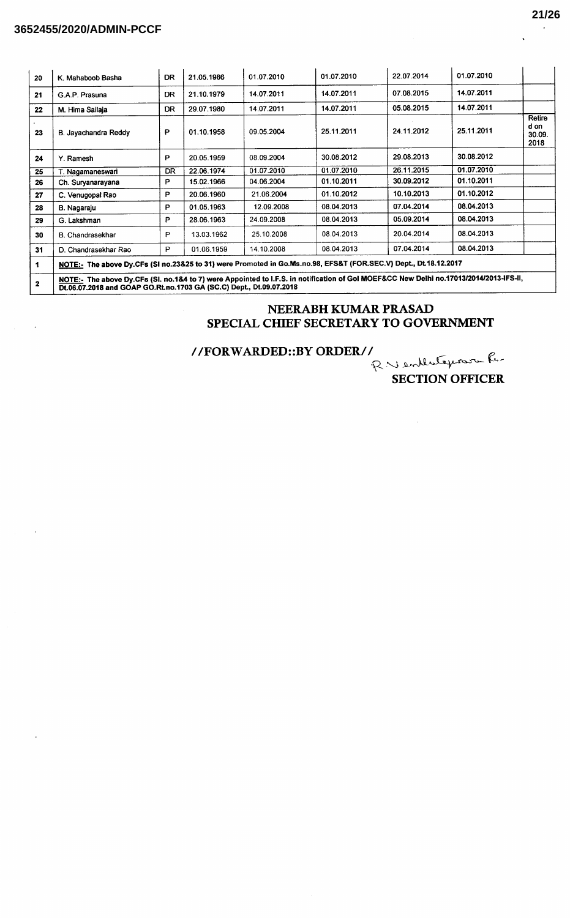### **3652455/2020/ADMIN-PCCF**

| 20           | K. Mahaboob Basha                                                                                                                                                                                             | DR.       | 21.05.1986 | 01.07.2010 | 01.07.2010 | 22.07.2014 | 01.07.2010 |                                  |
|--------------|---------------------------------------------------------------------------------------------------------------------------------------------------------------------------------------------------------------|-----------|------------|------------|------------|------------|------------|----------------------------------|
| 21           | G.A.P. Prasuna                                                                                                                                                                                                | <b>DR</b> | 21.10.1979 | 14.07.2011 | 14.07.2011 | 07.08.2015 | 14.07.2011 |                                  |
| 22           | M. Hima Sailaja                                                                                                                                                                                               | DR        | 29.07.1980 | 14.07.2011 | 14.07.2011 | 05.08.2015 | 14.07.2011 |                                  |
| 23           | B. Javachandra Reddy                                                                                                                                                                                          | P         | 01.10.1958 | 09.05.2004 | 25.11.2011 | 24.11.2012 | 25.11.2011 | Retire<br>d on<br>30.09.<br>2018 |
| 24           | Y. Ramesh                                                                                                                                                                                                     | P         | 20.05.1959 | 08.09.2004 | 30.08.2012 | 29.08.2013 | 30.08.2012 |                                  |
| 25           | T. Nagamaneswari                                                                                                                                                                                              | DR        | 22.06.1974 | 01.07.2010 | 01.07.2010 | 26.11.2015 | 01.07.2010 |                                  |
| 26           | Ch. Suryanarayana                                                                                                                                                                                             | P         | 15.02.1966 | 04.06.2004 | 01.10.2011 | 30.09.2012 | 01.10.2011 |                                  |
| 27           | C. Venugopal Rao                                                                                                                                                                                              | P         | 20.06.1960 | 21.06.2004 | 01.10.2012 | 10.10.2013 | 01.10.2012 |                                  |
| 28           | B. Nagaraju                                                                                                                                                                                                   | P         | 01.05.1963 | 12.09.2008 | 08.04.2013 | 07.04.2014 | 08.04.2013 |                                  |
| 29           | G. Lakshman                                                                                                                                                                                                   | P         | 28.06.1963 | 24.09.2008 | 08.04.2013 | 05.09.2014 | 08.04.2013 |                                  |
| 30           | B. Chandrasekhar                                                                                                                                                                                              | P         | 13.03.1962 | 25.10.2008 | 08.04.2013 | 20.04.2014 | 08.04.2013 |                                  |
| 31           | D. Chandrasekhar Rao                                                                                                                                                                                          | P         | 01.06.1959 | 14.10.2008 | 08.04.2013 | 07.04.2014 | 08.04.2013 |                                  |
| 1            | NOTE:- The above Dy.CFs (SI no.23&25 to 31) were Promoted in Go.Ms.no.98, EFS&T (FOR.SEC.V) Dept., Dt.18.12.2017                                                                                              |           |            |            |            |            |            |                                  |
| $\mathbf{2}$ | NOTE:- The above Dy.CFs (Sl. no.1&4 to 7) were Appointed to I.F.S. in notification of Gol MOEF&CC New Delhi no.17013/2014/2013-IFS-II,<br>Dt.06.07.2018 and GOAP GO.Rt.no.1703 GA (SC.C) Dept., Dt.09.07.2018 |           |            |            |            |            |            |                                  |

### NEERABH KUMAR PRASAD SPECIAL CHIEF SECRETARY TO GOVERNMENT

//FORWARDED::BY ORDER//

R Ventlateposon R. **SECTION OFFICER** 

 $\bar{z}$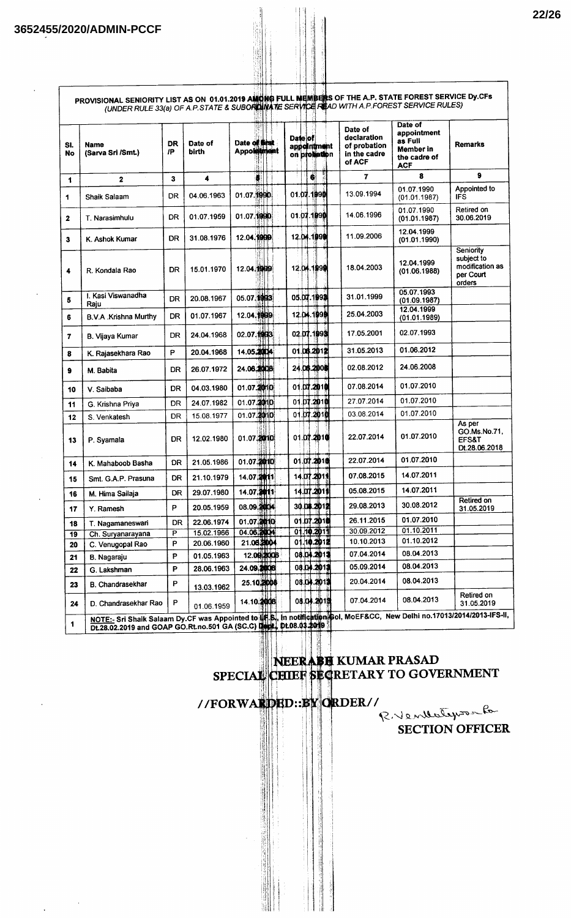$\bar{\beta}$ 

| SI.<br>No      | <b>Name</b><br>(Sarva Sri /Smt.)                                                                                                                                                                                        | DR<br>/P  | Date of<br>birth | Date of first<br>Appointment | Date of<br>appointment<br>on probation | Date of<br>declaration<br>of probation<br>in the cadre<br>of ACF | Date of<br>appointment<br>as Full<br>Member in<br>the cadre of<br><b>ACF</b> | <b>Remarks</b>                                                    |
|----------------|-------------------------------------------------------------------------------------------------------------------------------------------------------------------------------------------------------------------------|-----------|------------------|------------------------------|----------------------------------------|------------------------------------------------------------------|------------------------------------------------------------------------------|-------------------------------------------------------------------|
| 1              | $\mathbf 2$                                                                                                                                                                                                             | 3         | 4                | ö                            | di                                     | 7                                                                | 8                                                                            | 9                                                                 |
| 1              | Shaik Salaam                                                                                                                                                                                                            | DR.       | 04.06.1963       | 01.07.1990                   | 01.07.1990                             | 13.09.1994                                                       | 01.07.1990<br>(01.01.1987)                                                   | Appointed to<br>IFS                                               |
| $\mathbf{z}$   | T. Narasimhulu                                                                                                                                                                                                          | DR        | 01.07.1959       | 01.07.1990                   | 01.07.1090                             | 14.06.1996                                                       | 01.07.1990<br>(01.01.1987)                                                   | Retired on<br>30.06.2019                                          |
| 3              | K. Ashok Kumar                                                                                                                                                                                                          | DR        | 31.08.1976       | 12.04.1999                   | 12.04.1090                             | 11.09.2006                                                       | 12.04.1999<br>(01.01.1990)                                                   |                                                                   |
| 4              | R. Kondala Rao                                                                                                                                                                                                          | DR        | 15.01.1970       | 12.04.1999                   | 12.04.1990                             | 18.04.2003                                                       | 12.04.1999<br>(01.06.1988)                                                   | Seniority<br>subject to<br>modification as<br>per Court<br>orders |
| 5              | I. Kasi Viswanadha<br>Raju                                                                                                                                                                                              | DR.       | 20.08.1967       | 05.07.1993                   | 05.07.1993                             | 31.01.1999                                                       | 05.07.1993<br>(01.09.1987)                                                   |                                                                   |
| 6              | B.V.A. Krishna Murthy                                                                                                                                                                                                   | DR        | 01.07.1967       | 12.04.1999                   | 12.04.1990                             | 25.04.2003                                                       | 12.04.1999<br>(01.01.1989)                                                   |                                                                   |
| $\overline{7}$ | B. Vijaya Kumar                                                                                                                                                                                                         | DR        | 24.04.1968       | 02.07.1993                   | 02.07.1993                             | 17.05.2001                                                       | 02.07.1993                                                                   |                                                                   |
| 8              | K. Rajasekhara Rao                                                                                                                                                                                                      | P         | 20.04.1968       | 14.05.2004                   | 01.06.2012                             | 31.05.2013                                                       | 01.06.2012                                                                   |                                                                   |
| 9              | M. Babita                                                                                                                                                                                                               | DR        | 26.07.1972       | 24.06.2008                   | 24.06.2008                             | 02.08.2012                                                       | 24.06.2008                                                                   |                                                                   |
| 10             | V. Saibaba                                                                                                                                                                                                              | DR        | 04.03.1980       | 01.07.2010                   | 01.07.2010                             | 07.08.2014                                                       | 01.07.2010                                                                   |                                                                   |
| 11             | G. Krishna Priya                                                                                                                                                                                                        | DR        | 24.07.1982       | 01.07.2010                   | 01.07.2010                             | 27.07.2014                                                       | 01.07.2010                                                                   |                                                                   |
| 12             | S. Venkatesh                                                                                                                                                                                                            | DR        | 15.08.1977       | 01.07.2010                   | 01.07.2010                             | 03.08.2014                                                       | 01.07.2010                                                                   |                                                                   |
| 13             | P. Syamala                                                                                                                                                                                                              | DR        | 12.02.1980       | 01.07.2010                   | 01.07.2010                             | 22.07.2014                                                       | 01.07.2010                                                                   | As per<br>GO.Ms.No.71,<br>EFS&T<br>Dt.28.06.2018                  |
| 14             | K. Mahaboob Basha                                                                                                                                                                                                       | DR        | 21.05.1986       | 01.07.2010                   | 01.07.2010                             | 22.07.2014                                                       | 01.07.2010                                                                   |                                                                   |
| 15             | Smt. G.A.P. Prasuna                                                                                                                                                                                                     | DR        | 21.10.1979       | 14.07.2011                   | 14.07.2011                             | 07.08.2015                                                       | 14.07.2011                                                                   |                                                                   |
| 16             | M. Hima Sailaja                                                                                                                                                                                                         | <b>DR</b> | 29.07.1980       | 14.07.2011                   | 14.07.2011                             | 05.08.2015                                                       | 14.07.2011                                                                   |                                                                   |
| 17             | Y. Ramesh                                                                                                                                                                                                               | P         | 20.05.1959       | 08.09.2004                   | 30.04.2012                             | 29.08.2013                                                       | 30.08.2012                                                                   | Retired on<br>31.05.2019                                          |
| 18             | T. Nagamaneswari                                                                                                                                                                                                        | DR        | 22.06.1974       | 01.07.2010                   | 01.07.2010                             | 26.11.2015                                                       | 01.07.2010                                                                   |                                                                   |
| 19             | Ch. Suryanarayana                                                                                                                                                                                                       | P         | 15.02.1966       | 04.06.2004                   | 01.10.2011                             | 30.09.2012                                                       | 01.10.2011                                                                   |                                                                   |
| 20             | C. Venugopal Rao                                                                                                                                                                                                        | P         | 20.06.1960       | 21.06.2004                   | 01.10.2012                             | 10.10.2013                                                       | 01.10.2012                                                                   |                                                                   |
| 21             | B. Nagaraju                                                                                                                                                                                                             | P         | 01.05.1963       | 12.09.2008                   | 08.04.2013                             | 07.04.2014                                                       | 08.04.2013                                                                   |                                                                   |
| 22             | G. Lakshman                                                                                                                                                                                                             | P         | 28.06.1963       | 24.09.2008                   | 08.04.2013                             | 05.09.2014                                                       | 08.04.2013                                                                   |                                                                   |
| 23             | B. Chandrasekhar                                                                                                                                                                                                        | P         | 13.03.1962       | 25.10.2008                   | 08.04.2012                             | 20.04.2014                                                       | 08.04.2013                                                                   |                                                                   |
| 24             | D. Chandrasekhar Rao<br>NOTE:- Sri Shaik Salaam Dy.CF was Appointed to UF.S., in notification Gol, MoEF&CC, New Delhi no.17013/2014/2013-IFS-II,<br>Dt.28.02.2019 and GOAP GO.Rt.no.501 GA (SC.C) Disclas Dt.08.03.2019 | P         | 01.06.1959       | 14.10.2008                   | 08.04.201魏                             | 07.04.2014                                                       | 08.04.2013                                                                   | Retired on<br>31.05.2019                                          |

# NEERABE KUMAR PRASAD<br>SPECIAL CEIEF SECRETARY TO GOVERNMENT

# //FORWARDED: BY ORDER//

RVentletysenfo SECTION OFFICER

 $\overline{\phantom{a}}$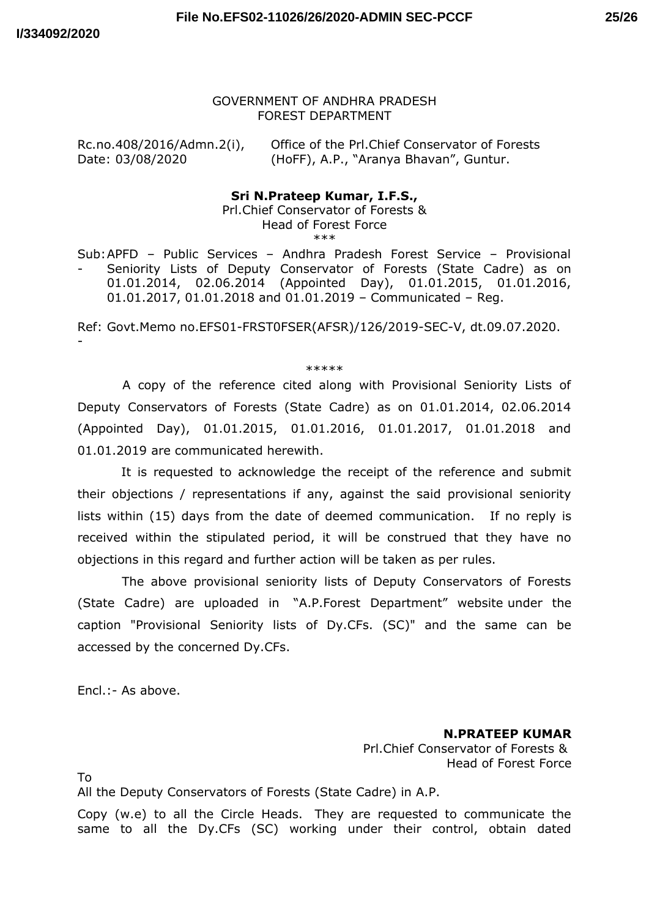-

#### GOVERNMENT OF ANDHRA PRADESH FOREST DEPARTMENT

Rc.no.408/2016/Admn.2(i), Office of the Prl.Chief Conservator of Forests Date: 03/08/2020 (HoFF), A.P., "Aranya Bhavan", Guntur.

#### **Sri N.Prateep Kumar, I.F.S.,**

Prl.Chief Conservator of Forests & Head of Forest Force \*\*\*

Sub: APFD – Public Services – Andhra Pradesh Forest Service – Provisional - Seniority Lists of Deputy Conservator of Forests (State Cadre) as on 01.01.2014, 02.06.2014 (Appointed Day), 01.01.2015, 01.01.2016, 01.01.2017, 01.01.2018 and 01.01.2019 – Communicated – Reg.

Ref: Govt.Memo no.EFS01-FRST0FSER(AFSR)/126/2019-SEC-V, dt.09.07.2020.

\*\*\*\*\*

A copy of the reference cited along with Provisional Seniority Lists of Deputy Conservators of Forests (State Cadre) as on 01.01.2014, 02.06.2014 (Appointed Day), 01.01.2015, 01.01.2016, 01.01.2017, 01.01.2018 and 01.01.2019 are communicated herewith.

It is requested to acknowledge the receipt of the reference and submit their objections / representations if any, against the said provisional seniority lists within (15) days from the date of deemed communication. If no reply is received within the stipulated period, it will be construed that they have no objections in this regard and further action will be taken as per rules.

The above provisional seniority lists of Deputy Conservators of Forests (State Cadre) are uploaded in "A.P.Forest Department" website under the caption "Provisional Seniority lists of Dy.CFs. (SC)" and the same can be accessed by the concerned Dy.CFs.

Encl.:- As above.

**N.PRATEEP KUMAR** Prl.Chief Conservator of Forests & Head of Forest Force

To

All the Deputy Conservators of Forests (State Cadre) in A.P.

Copy (w.e) to all the Circle Heads. They are requested to communicate the same to all the Dy.CFs (SC) working under their control, obtain dated